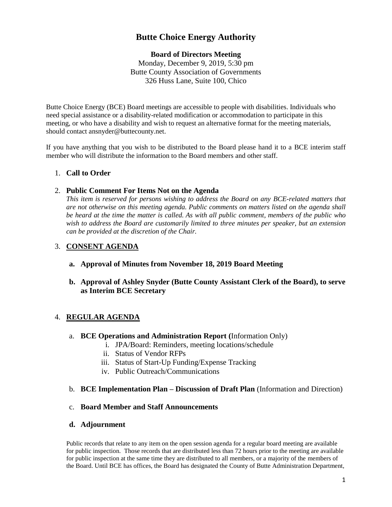# **Butte Choice Energy Authority**

# **Board of Directors Meeting**

Monday, December 9, 2019, 5:30 pm Butte County Association of Governments 326 Huss Lane, Suite 100, Chico

Butte Choice Energy (BCE) Board meetings are accessible to people with disabilities. Individuals who need special assistance or a disability-related modification or accommodation to participate in this meeting, or who have a disability and wish to request an alternative format for the meeting materials, should contact ansnyder@buttecounty.net.

If you have anything that you wish to be distributed to the Board please hand it to a BCE interim staff member who will distribute the information to the Board members and other staff.

## 1. **Call to Order**

#### 2. **Public Comment For Items Not on the Agenda**

*This item is reserved for persons wishing to address the Board on any BCE-related matters that are not otherwise on this meeting agenda. Public comments on matters listed on the agenda shall be heard at the time the matter is called. As with all public comment, members of the public who wish to address the Board are customarily limited to three minutes per speaker, but an extension can be provided at the discretion of the Chair.*

## 3. **CONSENT AGENDA**

- **a. Approval of Minutes from November 18, 2019 Board Meeting**
- **b. Approval of Ashley Snyder (Butte County Assistant Clerk of the Board), to serve as Interim BCE Secretary**

# 4. **REGULAR AGENDA**

- a. **BCE Operations and Administration Report (**Information Only)
	- i. JPA/Board: Reminders, meeting locations/schedule
	- ii. Status of Vendor RFPs
	- iii. Status of Start-Up Funding/Expense Tracking
	- iv. Public Outreach/Communications
- b. **BCE Implementation Plan – Discussion of Draft Plan** (Information and Direction)

## c. **Board Member and Staff Announcements**

**d. Adjournment** 

Public records that relate to any item on the open session agenda for a regular board meeting are available for public inspection. Those records that are distributed less than 72 hours prior to the meeting are available for public inspection at the same time they are distributed to all members, or a majority of the members of the Board. Until BCE has offices, the Board has designated the County of Butte Administration Department,